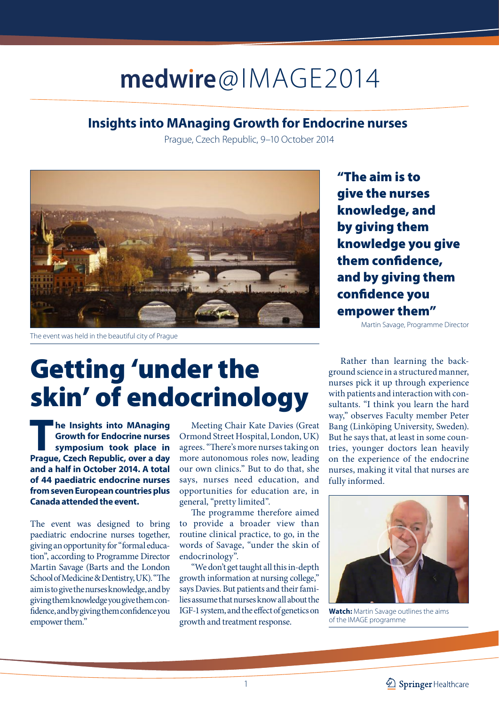### medwire@IMAGE2014

#### **Insights into MAnaging Growth for Endocrine nurses**

Prague, Czech Republic, 9–10 October 2014



The event was held in the beautiful city of Prague

## Getting 'under the skin' of endocrinology

**The Insights into MAnaging Growth for Endocrine nurses symposium took place in Prague, Czech Republic, over a day and a half in October 2014. A total of 44 paediatric endocrine nurses from seven European countries plus Canada attended the event.**

The event was designed to bring paediatric endocrine nurses together, giving an opportunity for "formal education", according to Programme Director Martin Savage (Barts and the London School of Medicine & Dentistry, UK). "The aim is to give the nurses knowledge, and by giving them knowledge you give them confidence, and by giving them confidence you empower them."

Meeting Chair Kate Davies (Great Ormond Street Hospital, London, UK) agrees. "There's more nurses taking on more autonomous roles now, leading our own clinics." But to do that, she says, nurses need education, and opportunities for education are, in general, "pretty limited".

The programme therefore aimed to provide a broader view than routine clinical practice, to go, in the words of Savage, "under the skin of endocrinology".

"We don't get taught all this in-depth growth information at nursing college," says Davies. But patients and their families assume that nurses know all about the IGF-1 system, and the effect of genetics on growth and treatment response.

"The aim is to give the nurses knowledge, and by giving them knowledge you give them confidence, and by giving them confidence you empower them"

Martin Savage, Programme Director

Rather than learning the background science in a structured manner, nurses pick it up through experience with patients and interaction with consultants. "I think you learn the hard way," observes Faculty member Peter Bang (Linköping University, Sweden). But he says that, at least in some countries, younger doctors lean heavily on the experience of the endocrine nurses, making it vital that nurses are fully informed.



**Watch:** Martin Savage outlines the aims of the IMAGE programme

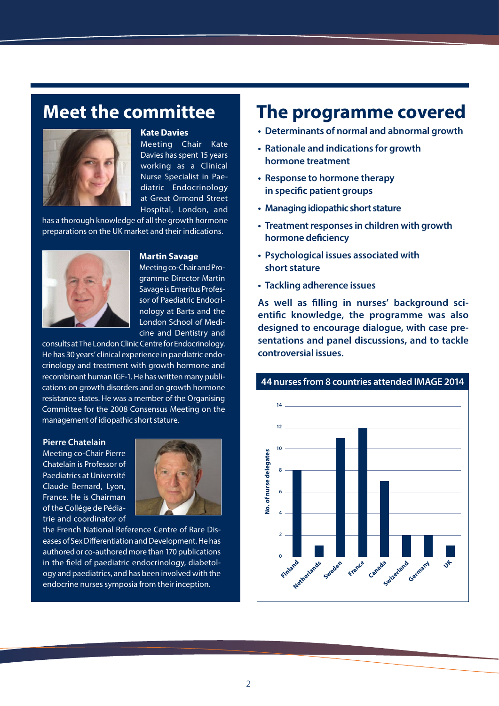### **Meet the committee**



#### **Kate Davies**

Meeting Chair Kate Davies has spent 15 years working as a Clinical Nurse Specialist in Paediatric Endocrinology at Great Ormond Street Hospital, London, and

has a thorough knowledge of all the growth hormone preparations on the UK market and their indications.



#### **Martin Savage**

Meeting co-Chair and Programme Director Martin Savage is Emeritus Professor of Paediatric Endocrinology at Barts and the London School of Medicine and Dentistry and

consults at The London Clinic Centre for Endocrinology. He has 30 years' clinical experience in paediatric endocrinology and treatment with growth hormone and recombinant human IGF-1. He has written many publications on growth disorders and on growth hormone resistance states. He was a member of the Organising Committee for the 2008 Consensus Meeting on the management of idiopathic short stature.

#### **Pierre Chatelain**

Meeting co-Chair Pierre Chatelain is Professor of Paediatrics at Université Claude Bernard, Lyon, France. He is Chairman of the Collége de Pédiatrie and coordinator of



the French National Reference Centre of Rare Diseases of Sex Differentiation and Development. He has authored or co-authored more than 170 publications in the field of paediatric endocrinology, diabetology and paediatrics, and has been involved with the endocrine nurses symposia from their inception.

### **The programme covered**

- **• Determinants of normal and abnormal growth**
- **• Rationale and indications for growth hormone treatment**
- **• Response to hormone therapy in specific patient groups**
- **• Managing idiopathic short stature**
- **• Treatment responses in children with growth hormone deficiency**
- **• Psychological issues associated with short stature**
- **• Tackling adherence issues**

**As well as filling in nurses' background scientific knowledge, the programme was also designed to encourage dialogue, with case presentations and panel discussions, and to tackle controversial issues.**



#### **44 nurses from 8 countries attended IMAGE 2014**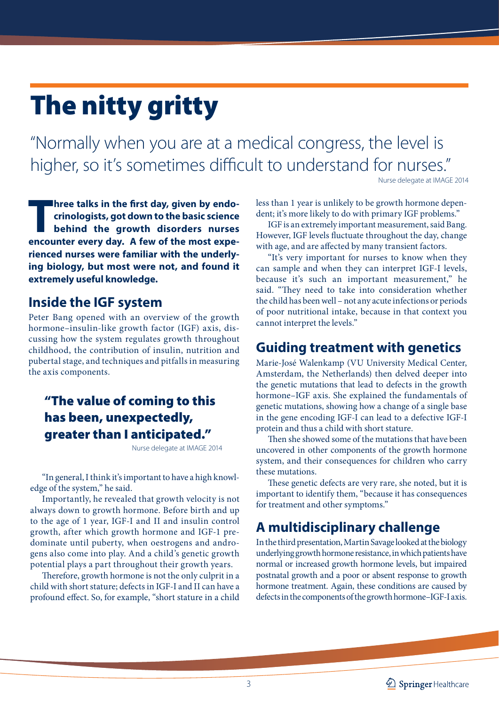# The nitty gritty

"Normally when you are at a medical congress, the level is higher, so it's sometimes difficult to understand for nurses."

Nurse delegate at IMAGE 2014

**Three talks in the first day, given by endo-**<br>crinologists, got down to the basic science<br>behind the growth disorders nurses **crinologists, got down to the basic science behind the growth disorders nurses encounter every day. A few of the most experienced nurses were familiar with the underlying biology, but most were not, and found it extremely useful knowledge.**

#### **Inside the IGF system**

Peter Bang opened with an overview of the growth hormone–insulin-like growth factor (IGF) axis, discussing how the system regulates growth throughout childhood, the contribution of insulin, nutrition and pubertal stage, and techniques and pitfalls in measuring the axis components.

### "The value of coming to this has been, unexpectedly, greater than I anticipated."

Nurse delegate at IMAGE 2014

"In general, I think it's important to have a high knowledge of the system," he said.

Importantly, he revealed that growth velocity is not always down to growth hormone. Before birth and up to the age of 1 year, IGF-I and II and insulin control growth, after which growth hormone and IGF-1 predominate until puberty, when oestrogens and androgens also come into play. And a child's genetic growth potential plays a part throughout their growth years.

Therefore, growth hormone is not the only culprit in a child with short stature; defects in IGF-I and II can have a profound effect. So, for example, "short stature in a child

less than 1 year is unlikely to be growth hormone dependent; it's more likely to do with primary IGF problems."

IGF is an extremely important measurement, said Bang. However, IGF levels fluctuate throughout the day, change with age, and are affected by many transient factors.

"It's very important for nurses to know when they can sample and when they can interpret IGF-I levels, because it's such an important measurement," he said. "They need to take into consideration whether the child has been well – not any acute infections or periods of poor nutritional intake, because in that context you cannot interpret the levels."

#### **Guiding treatment with genetics**

Marie-José Walenkamp (VU University Medical Center, Amsterdam, the Netherlands) then delved deeper into the genetic mutations that lead to defects in the growth hormone–IGF axis. She explained the fundamentals of genetic mutations, showing how a change of a single base in the gene encoding IGF-I can lead to a defective IGF-I protein and thus a child with short stature.

Then she showed some of the mutations that have been uncovered in other components of the growth hormone system, and their consequences for children who carry these mutations.

These genetic defects are very rare, she noted, but it is important to identify them, "because it has consequences for treatment and other symptoms."

### **A multidisciplinary challenge**

In the third presentation, Martin Savage looked at the biology underlying growth hormone resistance, in which patients have normal or increased growth hormone levels, but impaired postnatal growth and a poor or absent response to growth hormone treatment. Again, these conditions are caused by defects in the components of the growth hormone–IGF-I axis.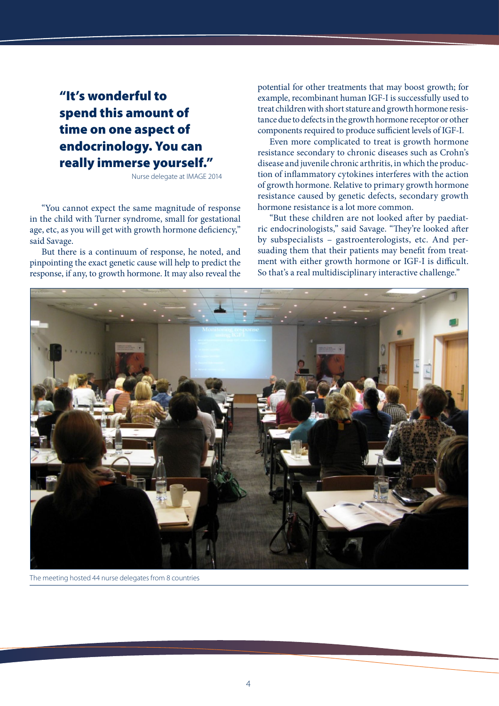### "It's wonderful to spend this amount of time on one aspect of endocrinology. You can really immerse yourself."

Nurse delegate at IMAGE 2014

"You cannot expect the same magnitude of response in the child with Turner syndrome, small for gestational age, etc, as you will get with growth hormone deficiency," said Savage.

But there is a continuum of response, he noted, and pinpointing the exact genetic cause will help to predict the response, if any, to growth hormone. It may also reveal the potential for other treatments that may boost growth; for example, recombinant human IGF-I is successfully used to treat children with short stature and growth hormone resistance due to defects in the growth hormone receptor or other components required to produce sufficient levels of IGF-I.

Even more complicated to treat is growth hormone resistance secondary to chronic diseases such as Crohn's disease and juvenile chronic arthritis, in which the production of inflammatory cytokines interferes with the action of growth hormone. Relative to primary growth hormone resistance caused by genetic defects, secondary growth hormone resistance is a lot more common.

"But these children are not looked after by paediatric endocrinologists," said Savage. "They're looked after by subspecialists – gastroenterologists, etc. And persuading them that their patients may benefit from treatment with either growth hormone or IGF-I is difficult. So that's a real multidisciplinary interactive challenge."



The meeting hosted 44 nurse delegates from 8 countries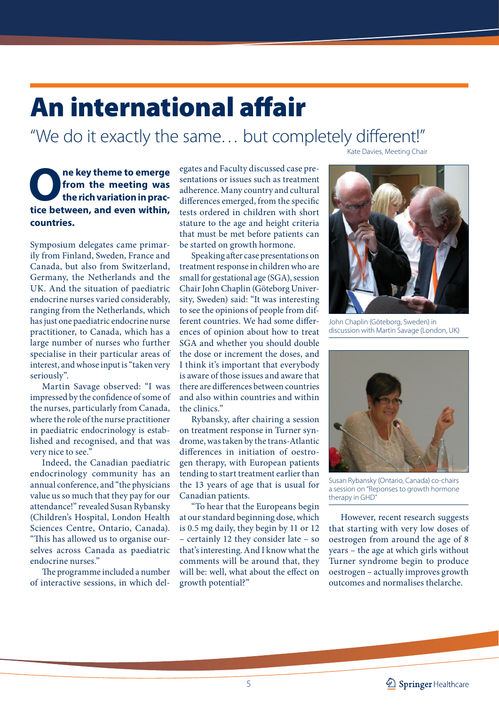# An international affair

"We do it exactly the same… but completely different!"

**O** ne key theme to emerge<br>from the meeting was<br>the rich variation in practice between and even within **from the meeting was the rich variation in practice between, and even within, countries.**

Symposium delegates came primarily from Finland, Sweden, France and Canada, but also from Switzerland, Germany, the Netherlands and the UK. And the situation of paediatric endocrine nurses varied considerably, ranging from the Netherlands, which has just one paediatric endocrine nurse practitioner, to Canada, which has a large number of nurses who further specialise in their particular areas of interest, and whose input is "taken very seriously".

Martin Savage observed: "I was impressed by the confidence of some of the nurses, particularly from Canada, where the role of the nurse practitioner in paediatric endocrinology is established and recognised, and that was very nice to see."

Indeed, the Canadian paediatric endocrinology community has an annual conference, and "the physicians value us so much that they pay for our attendance!" revealed Susan Rybansky (Children's Hospital, London Health Sciences Centre, Ontario, Canada). "This has allowed us to organise ourselves across Canada as paediatric endocrine nurses."

The programme included a number of interactive sessions, in which delegates and Faculty discussed case presentations or issues such as treatment adherence. Many country and cultural differences emerged, from the specific tests ordered in children with short stature to the age and height criteria that must be met before patients can be started on growth hormone.

Speaking after case presentations on treatment response in children who are small for gestational age (SGA), session Chair John Chaplin (Göteborg University, Sweden) said: "It was interesting to see the opinions of people from different countries. We had some differences of opinion about how to treat SGA and whether you should double the dose or increment the doses, and I think it's important that everybody is aware of those issues and aware that there are differences between countries and also within countries and within the clinics."

Rybansky, after chairing a session on treatment response in Turner syndrome, was taken by the trans-Atlantic differences in initiation of oestrogen therapy, with European patients tending to start treatment earlier than the 13 years of age that is usual for Canadian patients.

"To hear that the Europeans begin at our standard beginning dose, which is 0.5 mg daily, they begin by 11 or 12 – certainly 12 they consider late – so that's interesting. And I know what the comments will be around that, they will be: well, what about the effect on growth potential?"

Kate Davies, Meeting Chair



John Chaplin (Göteborg, Sweden) in discussion with Martin Savage (London, UK)



Susan Rybansky (Ontario, Canada) co-chairs a session on "Reponses to growth hormone therapy in GHD"

However, recent research suggests that starting with very low doses of oestrogen from around the age of 8 years – the age at which girls without Turner syndrome begin to produce oestrogen – actually improves growth outcomes and normalises thelarche.

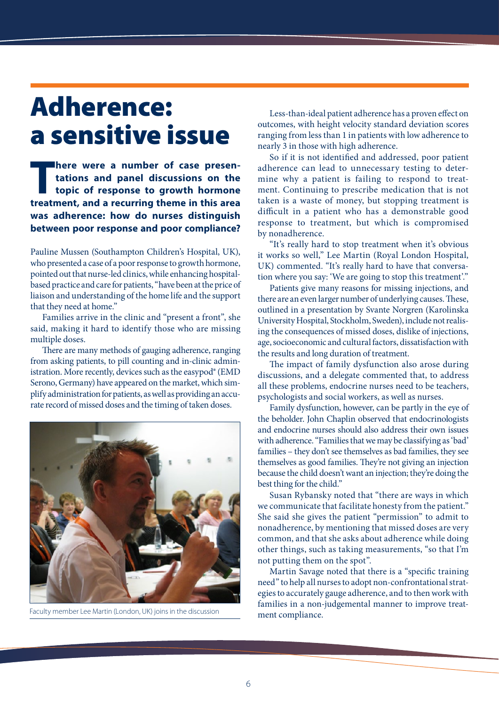### Adherence: a sensitive issue

**There were a number of case presentations and panel discussions on the topic of response to growth hormone tractment and a recurring theme in this area tations and panel discussions on the topic of response to growth hormone treatment, and a recurring theme in this area was adherence: how do nurses distinguish between poor response and poor compliance?** 

Pauline Mussen (Southampton Children's Hospital, UK), who presented a case of a poor response to growth hormone, pointed out that nurse-led clinics, while enhancing hospitalbased practice and care for patients, "have been at the price of liaison and understanding of the home life and the support that they need at home."

Families arrive in the clinic and "present a front", she said, making it hard to identify those who are missing multiple doses.

There are many methods of gauging adherence, ranging from asking patients, to pill counting and in-clinic administration. More recently, devices such as the easypod® (EMD Serono, Germany) have appeared on the market, which simplify administration for patients, as well as providing an accurate record of missed doses and the timing of taken doses.



Faculty member Lee Martin (London, UK) joins in the discussion

Less-than-ideal patient adherence has a proven effect on outcomes, with height velocity standard deviation scores ranging from less than 1 in patients with low adherence to nearly 3 in those with high adherence.

So if it is not identified and addressed, poor patient adherence can lead to unnecessary testing to determine why a patient is failing to respond to treatment. Continuing to prescribe medication that is not taken is a waste of money, but stopping treatment is difficult in a patient who has a demonstrable good response to treatment, but which is compromised by nonadherence.

"It's really hard to stop treatment when it's obvious it works so well," Lee Martin (Royal London Hospital, UK) commented. "It's really hard to have that conversation where you say: 'We are going to stop this treatment'."

Patients give many reasons for missing injections, and there are an even larger number of underlying causes. These, outlined in a presentation by Svante Norgren (Karolinska University Hospital, Stockholm, Sweden), include not realising the consequences of missed doses, dislike of injections, age, socioeconomic and cultural factors, dissatisfaction with the results and long duration of treatment.

The impact of family dysfunction also arose during discussions, and a delegate commented that, to address all these problems, endocrine nurses need to be teachers, psychologists and social workers, as well as nurses.

Family dysfunction, however, can be partly in the eye of the beholder. John Chaplin observed that endocrinologists and endocrine nurses should also address their own issues with adherence. "Families that we may be classifying as 'bad' families – they don't see themselves as bad families, they see themselves as good families. They're not giving an injection because the child doesn't want an injection; they're doing the best thing for the child."

Susan Rybansky noted that "there are ways in which we communicate that facilitate honesty from the patient." She said she gives the patient "permission" to admit to nonadherence, by mentioning that missed doses are very common, and that she asks about adherence while doing other things, such as taking measurements, "so that I'm not putting them on the spot".

Martin Savage noted that there is a "specific training need" to help all nurses to adopt non-confrontational strategies to accurately gauge adherence, and to then work with families in a non-judgemental manner to improve treatment compliance.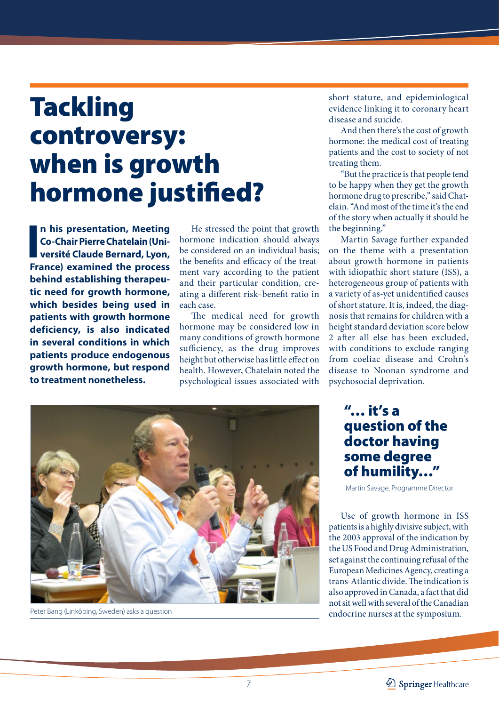## Tackling controversy: when is growth hormone justified?

**I**<br>I<br>Em **n his presentation, Meeting Co-Chair Pierre Chatelain (Université Claude Bernard, Lyon, France) examined the process behind establishing therapeutic need for growth hormone, which besides being used in patients with growth hormone deficiency, is also indicated in several conditions in which patients produce endogenous growth hormone, but respond to treatment nonetheless.**

He stressed the point that growth hormone indication should always be considered on an individual basis; the benefits and efficacy of the treatment vary according to the patient and their particular condition, creating a different risk–benefit ratio in each case.

The medical need for growth hormone may be considered low in many conditions of growth hormone sufficiency, as the drug improves height but otherwise has little effect on health. However, Chatelain noted the psychological issues associated with short stature, and epidemiological evidence linking it to coronary heart disease and suicide.

And then there's the cost of growth hormone: the medical cost of treating patients and the cost to society of not treating them.

"But the practice is that people tend to be happy when they get the growth hormone drug to prescribe," said Chatelain. "And most of the time it's the end of the story when actually it should be the beginning."

Martin Savage further expanded on the theme with a presentation about growth hormone in patients with idiopathic short stature (ISS), a heterogeneous group of patients with a variety of as-yet unidentified causes of short stature. It is, indeed, the diagnosis that remains for children with a height standard deviation score below 2 after all else has been excluded, with conditions to exclude ranging from coeliac disease and Crohn's disease to Noonan syndrome and psychosocial deprivation.



Peter Bang (Linköping, Sweden) asks a question

"… it's a question of the doctor having some degree of humility…"

Martin Savage, Programme Director

Use of growth hormone in ISS patients is a highly divisive subject, with the 2003 approval of the indication by the US Food and Drug Administration, set against the continuing refusal of the European Medicines Agency, creating a trans-Atlantic divide. The indication is also approved in Canada, a fact that did not sit well with several of the Canadian endocrine nurses at the symposium.